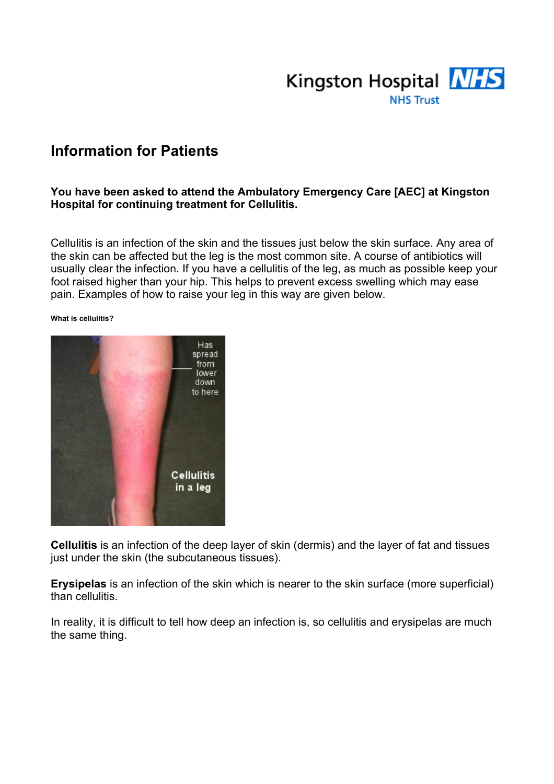

## **Information for Patients**

#### **You have been asked to attend the Ambulatory Emergency Care [AEC] at Kingston Hospital for continuing treatment for Cellulitis.**

Cellulitis is an infection of the skin and the tissues just below the skin surface. Any area of the skin can be affected but the leg is the most common site. A course of antibiotics will usually clear the infection. If you have a cellulitis of the leg, as much as possible keep your foot raised higher than your hip. This helps to prevent excess swelling which may ease pain. Examples of how to raise your leg in this way are given below.

#### **What is cellulitis?**



**Cellulitis** is an infection of the deep layer of skin (dermis) and the layer of fat and tissues just under the skin (the subcutaneous tissues).

**Erysipelas** is an infection of the skin which is nearer to the skin surface (more superficial) than cellulitis.

In reality, it is difficult to tell how deep an infection is, so cellulitis and erysipelas are much the same thing.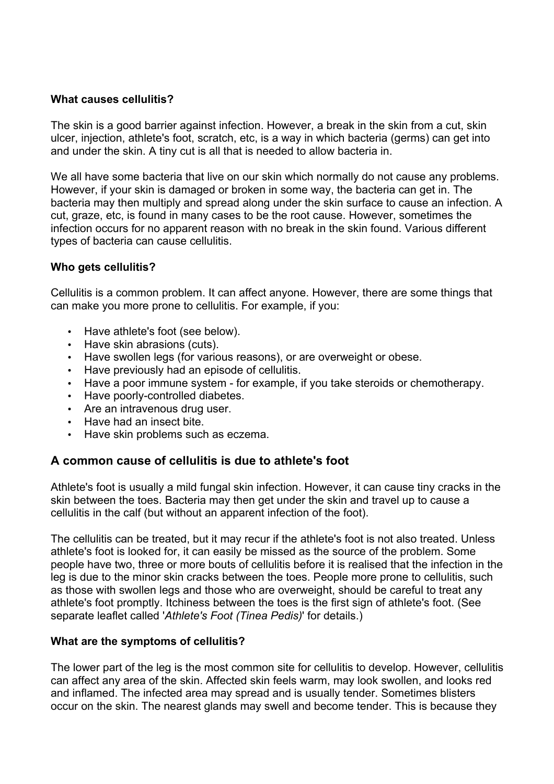#### **What causes cellulitis?**

The skin is a good barrier against infection. However, a break in the skin from a cut, skin ulcer, injection, athlete's foot, scratch, etc, is a way in which bacteria (germs) can get into and under the skin. A tiny cut is all that is needed to allow bacteria in.

We all have some bacteria that live on our skin which normally do not cause any problems. However, if your skin is damaged or broken in some way, the bacteria can get in. The bacteria may then multiply and spread along under the skin surface to cause an infection. A cut, graze, etc, is found in many cases to be the root cause. However, sometimes the infection occurs for no apparent reason with no break in the skin found. Various different types of bacteria can cause cellulitis.

## **Who gets cellulitis?**

Cellulitis is a common problem. It can affect anyone. However, there are some things that can make you more prone to cellulitis. For example, if you:

- Have athlete's foot (see below).
- Have skin abrasions (cuts).
- Have swollen legs (for various reasons), or are overweight or obese.
- Have previously had an episode of cellulitis.
- Have a poor immune system for example, if you take steroids or chemotherapy.
- Have poorly-controlled diabetes.
- Are an intravenous drug user.
- Have had an insect bite.
- Have skin problems such as eczema.

## **A common cause of cellulitis is due to athlete's foot**

Athlete's foot is usually a mild fungal skin infection. However, it can cause tiny cracks in the skin between the toes. Bacteria may then get under the skin and travel up to cause a cellulitis in the calf (but without an apparent infection of the foot).

The cellulitis can be treated, but it may recur if the athlete's foot is not also treated. Unless athlete's foot is looked for, it can easily be missed as the source of the problem. Some people have two, three or more bouts of cellulitis before it is realised that the infection in the leg is due to the minor skin cracks between the toes. People more prone to cellulitis, such as those with swollen legs and those who are overweight, should be careful to treat any athlete's foot promptly. Itchiness between the toes is the first sign of athlete's foot. (See separate leaflet called '*Athlete's Foot (Tinea Pedis)*' for details.)

## **What are the symptoms of cellulitis?**

The lower part of the leg is the most common site for cellulitis to develop. However, cellulitis can affect any area of the skin. Affected skin feels warm, may look swollen, and looks red and inflamed. The infected area may spread and is usually tender. Sometimes blisters occur on the skin. The nearest glands may swell and become tender. This is because they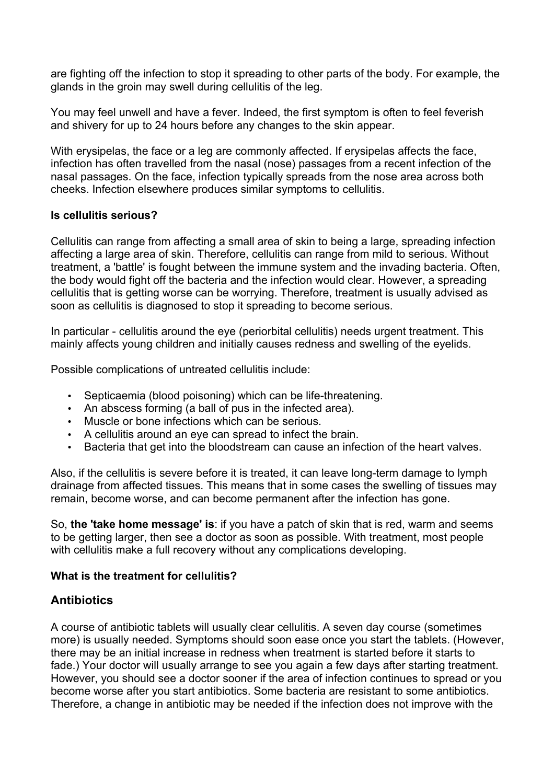are fighting off the infection to stop it spreading to other parts of the body. For example, the glands in the groin may swell during cellulitis of the leg.

You may feel unwell and have a fever. Indeed, the first symptom is often to feel feverish and shivery for up to 24 hours before any changes to the skin appear.

With erysipelas, the face or a leg are commonly affected. If erysipelas affects the face, infection has often travelled from the nasal (nose) passages from a recent infection of the nasal passages. On the face, infection typically spreads from the nose area across both cheeks. Infection elsewhere produces similar symptoms to cellulitis.

### **Is cellulitis serious?**

Cellulitis can range from affecting a small area of skin to being a large, spreading infection affecting a large area of skin. Therefore, cellulitis can range from mild to serious. Without treatment, a 'battle' is fought between the immune system and the invading bacteria. Often, the body would fight off the bacteria and the infection would clear. However, a spreading cellulitis that is getting worse can be worrying. Therefore, treatment is usually advised as soon as cellulitis is diagnosed to stop it spreading to become serious.

In particular - cellulitis around the eye (periorbital cellulitis) needs urgent treatment. This mainly affects young children and initially causes redness and swelling of the eyelids.

Possible complications of untreated cellulitis include:

- Septicaemia (blood poisoning) which can be life-threatening.
- An abscess forming (a ball of pus in the infected area).
- Muscle or bone infections which can be serious.
- A cellulitis around an eye can spread to infect the brain.
- Bacteria that get into the bloodstream can cause an infection of the heart valves.

Also, if the cellulitis is severe before it is treated, it can leave long-term damage to lymph drainage from affected tissues. This means that in some cases the swelling of tissues may remain, become worse, and can become permanent after the infection has gone.

So, **the 'take home message' is**: if you have a patch of skin that is red, warm and seems to be getting larger, then see a doctor as soon as possible. With treatment, most people with cellulitis make a full recovery without any complications developing.

## **What is the treatment for cellulitis?**

## **Antibiotics**

A course of antibiotic tablets will usually clear cellulitis. A seven day course (sometimes more) is usually needed. Symptoms should soon ease once you start the tablets. (However, there may be an initial increase in redness when treatment is started before it starts to fade.) Your doctor will usually arrange to see you again a few days after starting treatment. However, you should see a doctor sooner if the area of infection continues to spread or you become worse after you start antibiotics. Some bacteria are resistant to some antibiotics. Therefore, a change in antibiotic may be needed if the infection does not improve with the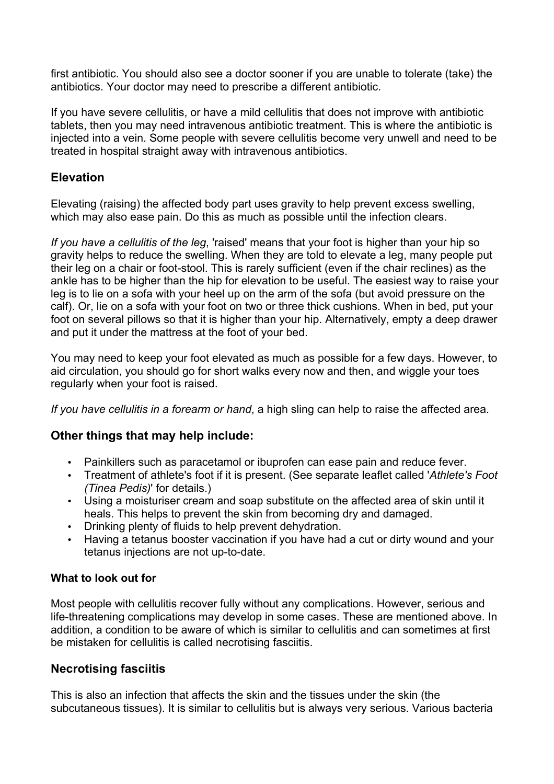first antibiotic. You should also see a doctor sooner if you are unable to tolerate (take) the antibiotics. Your doctor may need to prescribe a different antibiotic.

If you have severe cellulitis, or have a mild cellulitis that does not improve with antibiotic tablets, then you may need intravenous antibiotic treatment. This is where the antibiotic is injected into a vein. Some people with severe cellulitis become very unwell and need to be treated in hospital straight away with intravenous antibiotics.

## **Elevation**

Elevating (raising) the affected body part uses gravity to help prevent excess swelling, which may also ease pain. Do this as much as possible until the infection clears.

*If you have a cellulitis of the leg*, 'raised' means that your foot is higher than your hip so gravity helps to reduce the swelling. When they are told to elevate a leg, many people put their leg on a chair or foot-stool. This is rarely sufficient (even if the chair reclines) as the ankle has to be higher than the hip for elevation to be useful. The easiest way to raise your leg is to lie on a sofa with your heel up on the arm of the sofa (but avoid pressure on the calf). Or, lie on a sofa with your foot on two or three thick cushions. When in bed, put your foot on several pillows so that it is higher than your hip. Alternatively, empty a deep drawer and put it under the mattress at the foot of your bed.

You may need to keep your foot elevated as much as possible for a few days. However, to aid circulation, you should go for short walks every now and then, and wiggle your toes regularly when your foot is raised.

*If you have cellulitis in a forearm or hand*, a high sling can help to raise the affected area.

## **Other things that may help include:**

- Painkillers such as paracetamol or ibuprofen can ease pain and reduce fever.
- Treatment of athlete's foot if it is present. (See separate leaflet called '*Athlete's Foot (Tinea Pedis)*' for details.)
- Using a moisturiser cream and soap substitute on the affected area of skin until it heals. This helps to prevent the skin from becoming dry and damaged.
- Drinking plenty of fluids to help prevent dehydration.
- Having a tetanus booster vaccination if you have had a cut or dirty wound and your tetanus injections are not up-to-date.

## **What to look out for**

Most people with cellulitis recover fully without any complications. However, serious and life-threatening complications may develop in some cases. These are mentioned above. In addition, a condition to be aware of which is similar to cellulitis and can sometimes at first be mistaken for cellulitis is called necrotising fasciitis.

## **Necrotising fasciitis**

This is also an infection that affects the skin and the tissues under the skin (the subcutaneous tissues). It is similar to cellulitis but is always very serious. Various bacteria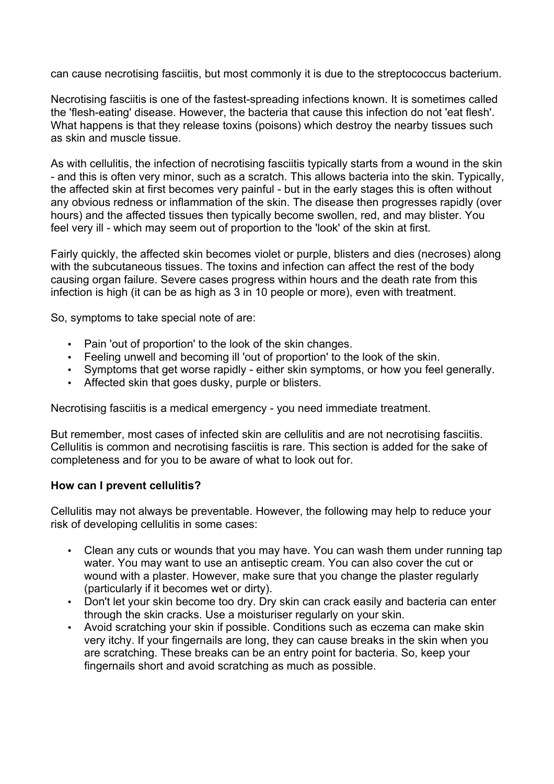can cause necrotising fasciitis, but most commonly it is due to the streptococcus bacterium.

Necrotising fasciitis is one of the fastest-spreading infections known. It is sometimes called the 'flesh-eating' disease. However, the bacteria that cause this infection do not 'eat flesh'. What happens is that they release toxins (poisons) which destroy the nearby tissues such as skin and muscle tissue.

As with cellulitis, the infection of necrotising fasciitis typically starts from a wound in the skin - and this is often very minor, such as a scratch. This allows bacteria into the skin. Typically, the affected skin at first becomes very painful - but in the early stages this is often without any obvious redness or inflammation of the skin. The disease then progresses rapidly (over hours) and the affected tissues then typically become swollen, red, and may blister. You feel very ill - which may seem out of proportion to the 'look' of the skin at first.

Fairly quickly, the affected skin becomes violet or purple, blisters and dies (necroses) along with the subcutaneous tissues. The toxins and infection can affect the rest of the body causing organ failure. Severe cases progress within hours and the death rate from this infection is high (it can be as high as 3 in 10 people or more), even with treatment.

So, symptoms to take special note of are:

- Pain 'out of proportion' to the look of the skin changes.
- Feeling unwell and becoming ill 'out of proportion' to the look of the skin.
- Symptoms that get worse rapidly either skin symptoms, or how you feel generally.
- Affected skin that goes dusky, purple or blisters.

Necrotising fasciitis is a medical emergency - you need immediate treatment.

But remember, most cases of infected skin are cellulitis and are not necrotising fasciitis. Cellulitis is common and necrotising fasciitis is rare. This section is added for the sake of completeness and for you to be aware of what to look out for.

#### **How can I prevent cellulitis?**

Cellulitis may not always be preventable. However, the following may help to reduce your risk of developing cellulitis in some cases:

- Clean any cuts or wounds that you may have. You can wash them under running tap water. You may want to use an antiseptic cream. You can also cover the cut or wound with a plaster. However, make sure that you change the plaster regularly (particularly if it becomes wet or dirty).
- Don't let your skin become too dry. Dry skin can crack easily and bacteria can enter through the skin cracks. Use a moisturiser regularly on your skin.
- Avoid scratching your skin if possible. Conditions such as eczema can make skin very itchy. If your fingernails are long, they can cause breaks in the skin when you are scratching. These breaks can be an entry point for bacteria. So, keep your fingernails short and avoid scratching as much as possible.